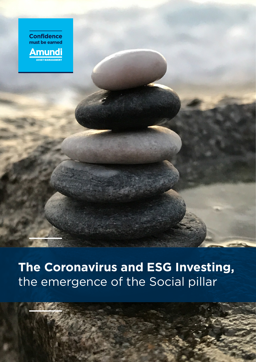**Confidence** must be earned **Amundi** <u>.</u><br>Asset Management

**The Coronavirus and ESG Investing,**  the emergence of the Social pillar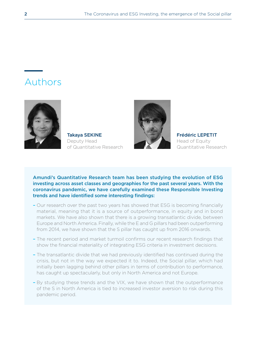# Authors



Takaya SEKINE Deputy Head of Quantitative Research



Frédéric LEPETIT Head of Equity Quantitative Research

Amundi's Quantitative Research team has been studying the evolution of ESG investing across asset classes and geographies for the past several years. With the coronavirus pandemic, we have carefully examined these Responsible Investing trends and have identified some interesting findings:

- Our research over the past two years has showed that ESG is becoming financially material, meaning that it is a source of outperformance, in equity and in bond markets. We have also shown that there is a growing transatlantic divide, between Europe and North America. Finally, while the E and G pillars had been outperforming from 2014, we have shown that the S pillar has caught up from 2016 onwards.
- The recent period and market turmoil confirms our recent research findings that show the financial materiality of integrating ESG criteria in investment decisions.
- The transatlantic divide that we had previously identified has continued during the crisis, but not in the way we expected it to. Indeed, the Social pillar, which had initially been lagging behind other pillars in terms of contribution to performance, has caught up spectacularly, but only in North America and not Europe.
- By studying these trends and the VIX, we have shown that the outperformance of the S in North America is tied to increased investor aversion to risk during this pandemic period.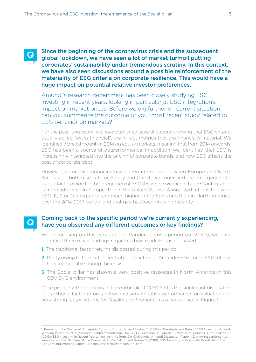Q

Since the beginning of the coronavirus crisis and the subsequent global lockdown, we have seen a lot of market turmoil putting corporates' sustainability under tremendous scrutiny. In this context, we have also seen discussions around a possible reinforcement of the materiality of ESG criteria on corporate resilience. This would have a huge impact on potential relative investor preferences.

Amundi's research department has been closely studying ESG investing in recent years, looking in particular at ESG integration's impact on market prices. Before we dig further on current situation, can you summarize the outcome of your most recent study related to ESG behavior on markets?

For the past two years, we have published several papers<sup>1</sup> showing that ESG criteria, usually called "extra-financial", are in fact metrics that are financially material. We identified a breakthrough in 2014 on equity markets, meaning that from 2014 onwards, ESG has been a source of outperformance. In addition, we identified that ESG is increasingly integrated into the pricing of corporate bonds, and how ESG affects the cost of corporate debt.

However, some discrepancies have been identified between Europe and North America. In both research for Equity and Credit, we confirmed the emergence of a transatlantic divide for the integration of ESG (by which we mean that ESG integration is more advanced in Europe than in the United States). Annualized returns following ESG, E, S or G integration are much higher in the Eurozone than in North America, over the 2014-2019 period, and that gap has been growing recently.

## Coming back to the specific period we're currently experiencing, have you observed any different outcomes or key findings?

When focusing on this very specific Pandemic crisis period (Q1 2020), we have identified three major findings regarding how markets have behaved.

- 1. The traditional factor returns dislocated during this period.
- 2. Partly owing to the sector-neutral construction of Amundi ESG scores, ESG returns have been stable during the crisis.
- **3.** The Social pillar has shown a very positive response in North America in this COVID-19 environment.

More precisely, the big story in the outbreak of COVID-19 is the significant dislocation of traditional factor returns between a very negative performance for Valuation and very strong factor returns for Quality and Momentum as we can see in Figure 1.

<sup>1.</sup> Bennani, L., Le Guenedal, T., Lepetit, F., Ly, L., Mortier, V., and Sekine, T. (2018a), The Alpha and Beta of ESG Investing, Amundi Working Paper, 76, http://research-center.amundi.com. Drei, A., Le Guenedal, T., Lepetit, F., Mortier, V., Roncalli, T. and Sekine, T. (2019), ESG Investing in Recent Years: New Insights from Old Challenges, Amundi Discussion Paper, 42, www.research-center. amundi.com. Ben Slimane, M., Le Guenedal, T., Roncalli, T. and Sekine, T. (2019), ESG Investing in Corporate Bonds: Mind the Gap, Amundi Working Paper, 93, http://research-center.amundi.com.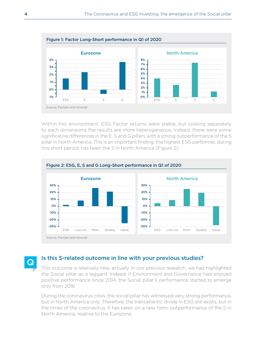

Within this environment, ESG Factor returns were stable, but looking separately to each dimensions the results are more heterogeneous. Indeed, there were some significative differences in the E, S and G pillars with a strong outperformance of the S pillar in North America. This is an important finding: the highest ESG performer, during this short period, has been the S in North America (Figure 2).



Q

### Is this S-related outcome in line with your previous studies?

This outcome is relatively new, actually. In our previous research, we had highlighted the Social pillar as a laggard. Indeed, if Environment and Governance had enjoyed positive performance since 2014, the Social pillar's performance started to emerge only from 2016.

During the coronavirus crisis, the social pillar has witnessed very strong performance, but in North America only. Therefore, the transatlantic divide in ESG still exists, but in the times of the coronavirus, it has taken on a new form: outperformance of the S in North America, relative to the Eurozone.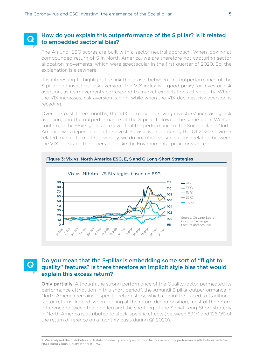#### How do you explain this outperformance of the S pillar? Is it related to embedded sectorial bias? Q

The Amundi ESG scores are built with a sector neutral approach. When looking at compounded return of S in North America, we are therefore not capturing sector allocation movements, which were spectacular in the first quarter of 2020. So, the explanation is elsewhere.

It is interesting to highlight the link that exists between this outperformance of the S pillar and investors' risk aversion. The VIX index is a good proxy for investor risk aversion, as its movements correspond to market expectations of volatility. When the VIX increases, risk aversion is high, while when the VIX declines, risk aversion is receding.

Over the past three months, the VIX increased, proving investors' increasing risk aversion, and the outperformance of the S pillar followed the same path. We can confirm, at the 95% significance level, that the performance of the Social pillar in North America was dependent on the investors' risk aversion during the Q1 2020 Covid-19 related market turmoil. Conversely, we do not observe such a close relation between the VIX index and the others pillar like the Environmental pillar for stance.



#### Do you mean that the S-pillar is embedding some sort of "flight to quality" features? Is there therefore an implicit style bias that would explain this excess return? Q

**Only partially.** Although the strong performance of the Quality factor permeated its performance attribution in this short period<sup>2</sup>, the Amundi S pillar outperformance in North America remains a specific return story, which cannot be traced to traditional factor returns. Indeed, when looking at the return decomposition, most of the return difference between the long leg and the short leg of the Social Long-Short strategy in North America is attributed to stock-specific effects (between 89.1% and 126.0% of the return difference on a monthly basis during Q1 2020).

2. We analyzed the distribution of T-stats of industry and style common factors in monthly performance attributions with the MSCI Barra Global Equity Model (GEM3).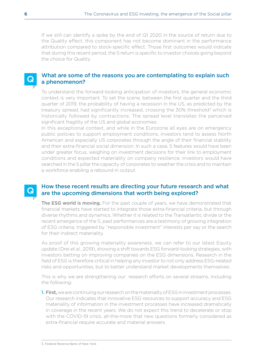If we still can identify a spike by the end of Q1 2020 in the source of return due to the Quality effect, this component has not become dominant in the performance attribution compared to stock-specific effect. Those first outcomes would indicate that during this recent period, the S return is specific to investor choices going beyond the choice for Quality.

## What are some of the reasons you are contemplating to explain such a phenomenon?

To understand the forward-looking anticipation of investors, the general economic context is very important. To set the scene, between the first quarter and the third quarter of 2019, the probability of having a recession in the US, as predicted by the treasury spread, had significantly increased, crossing the  $30\%$  threshold<sup>3</sup> which is historically followed by contractions. The spread level translates the perceived significant fragility of the US and global economies.

In this exceptional context, and while in the Eurozone all eyes are on emergency public policies to support employment conditions, investors tend to assess North American and especially US corporates through the angle of their financial stability and their extra-financial social dimension. In such a case, S features would have been under greater focus, weighing on investment decisions for their link to employment conditions and expected materiality on company resilience. Investors would have searched in the S pillar the capacity of corporates to weather the crisis and to maintain a workforce enabling a rebound in output.

## How these recent results are directing your future research and what are the upcoming dimensions that worth being explored?

The ESG world is moving. For the past couple of years, we have demonstrated that financial markets have started to integrate those extra-financial criteria, but through diverse rhythms and dynamics. Whether it is related to the Transatlantic divide or the recent emergence of the S, past performances are a testimony of growing integration of ESG criteria, triggered by "responsible investment" interests per say or the search for their indirect materiality.

As proof of this growing materiality awareness, we can refer to our latest Equity update (Drei *et al.*, 2019), showing a shift towards ESG forward-looking strategies, with investors betting on improving companies on the ESG dimensions. Research in the field of ESG is therefore critical in helping any investor to not only address ESG-related risks and opportunities, but to better understand market developments themselves.

This is why we are strengthening our research efforts on several streams, including the following:

**1. First,** we are continuing our research on the materiality of ESG in investment processes. Our research indicates that innovative ESG resources to support accuracy and ESG materiality of information in the investment processes have increased dramatically in coverage in the recent years. We do not expect this trend to decelerate or stop with the COVID-19 crisis, all-the-more that new questions formerly considered as extra-financial require accurate and material answers.

Q

 $\bf Q$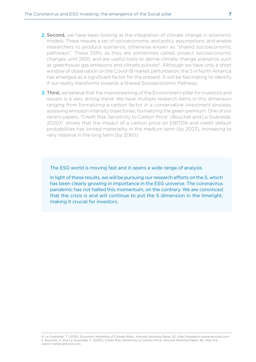- 2. Second, we have been looking at the integration of climate change in economic models. These require a set of socioeconomic and policy assumptions, and enable researchers to produce scenarios, otherwise known as "shared socioeconomic pathways". These SSPs, as they are sometimes called, project socioeconomic changes until 2100, and are useful tools to derive climate change scenarios such as greenhouse gas emissions and climate policies<sup>4</sup>. Although we have only a short window of observation on the Covid-19 market perturbation, the S in North America has emerged as a significant factor for the present. It will be fascinating to identify if our reality transforms towards a Shared Socioeconomic Pathway.
- **3. Third,** we believe that the mainstreaming of the Environment pillar for investors and issuers is a very strong trend. We have multiple research items in this dimension ranging from formalizing a carbon factor in a conservative investment process, assessing emission intensity trajectories, formalizing the green premium. One of our recent papers, "Credit Risk Sensitivity to Carbon Price" (Bouchet and Le Guénédal, 2020)<sup>5</sup>, shows that the impact of a carbon price on EBITDA and credit default probabilities has limited materiality in the medium term (by 2023), increasing to very material in the long term (by 2060).

The ESG world is moving fast and it opens a wide range of analysis.

In light of these results, we will be pursuing our research efforts on the S, which has been clearly growing in importance in the ESG universe. The coronavirus pandemic has not halted this momentum, on the contrary. We are convinced that the crisis is and will continue to put the S dimension in the limelight, making it crucial for investors.

<sup>4.</sup> Le Guenedal, T. (2019), Economic Modeling of Climate Risks, Amundi Working Paper, 83, http://research-center.amundi.com. 5. Bouchet, V. and Le Guenedal, T. (2020), Credit Risk Sensitivity to Carbon Price, Amundi Working Paper, 95, http://research-center.amundi.com.